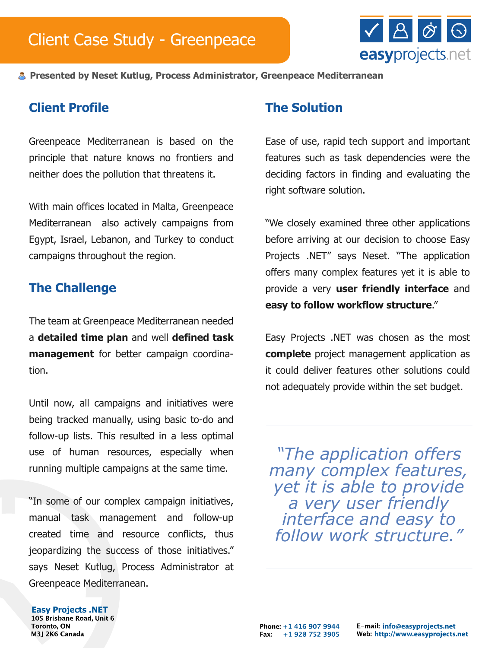

**Presented by Neset Kutlug, Process Administrator, Greenpeace Mediterranean**

## **Client Profile**

Greenpeace Mediterranean is based on the principle that nature knows no frontiers and neither does the pollution that threatens it.

With main offices located in Malta, Greenpeace Mediterranean also actively campaigns from Egypt, Israel, Lebanon, and Turkey to conduct campaigns throughout the region.

### **The Challenge**

The team at Greenpeace Mediterranean needed a **detailed time plan** and well **defined task management** for better campaign coordination.

Until now, all campaigns and initiatives were being tracked manually, using basic to-do and follow-up lists. This resulted in a less optimal use of human resources, especially when running multiple campaigns at the same time.

"In some of our complex campaign initiatives, manual task management and follow-up created time and resource conflicts, thus jeopardizing the success of those initiatives." says Neset Kutlug, Process Administrator at Greenpeace Mediterranean.

### **The Solution**

Ease of use, rapid tech support and important features such as task dependencies were the deciding factors in finding and evaluating the right software solution.

"We closely examined three other applications before arriving at our decision to choose Easy Projects .NET" says Neset. "The application offers many complex features yet it is able to provide a very **user friendly interface** and **easy to follow workflow structure**."

Easy Projects .NET was chosen as the most **complete** project management application as it could deliver features other solutions could not adequately provide within the set budget.

*"The application offers many complex features, yet it is able to provide a very user friendly interface and easy to follow work structure."*

# **Easy Projects .NET**

**Toronto, ON** M3J 2K6 Canada